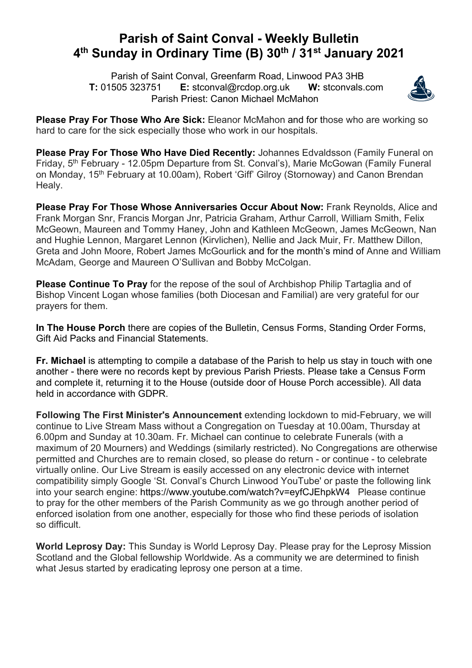## **Parish of Saint Conval - Weekly Bulletin 4th Sunday in Ordinary Time (B) 30th / 31st January 2021**

 Parish of Saint Conval, Greenfarm Road, Linwood PA3 3HB **T:** 01505 323751 **E:** stconval@rcdop.org.uk **W:** stconvals.com Parish Priest: Canon Michael McMahon



**Please Pray For Those Who Are Sick:** Eleanor McMahon and for those who are working so hard to care for the sick especially those who work in our hospitals.

**Please Pray For Those Who Have Died Recently:** Johannes Edvaldsson (Family Funeral on Friday, 5th February - 12.05pm Departure from St. Conval's), Marie McGowan (Family Funeral on Monday, 15<sup>th</sup> February at 10.00am), Robert 'Giff' Gilroy (Stornoway) and Canon Brendan Healy.

**Please Pray For Those Whose Anniversaries Occur About Now:** Frank Reynolds, Alice and Frank Morgan Snr, Francis Morgan Jnr, Patricia Graham, Arthur Carroll, William Smith, Felix McGeown, Maureen and Tommy Haney, John and Kathleen McGeown, James McGeown, Nan and Hughie Lennon, Margaret Lennon (Kirvlichen), Nellie and Jack Muir, Fr. Matthew Dillon, Greta and John Moore, Robert James McGourlick and for the month's mind of Anne and William McAdam, George and Maureen O'Sullivan and Bobby McColgan.

**Please Continue To Pray** for the repose of the soul of Archbishop Philip Tartaglia and of Bishop Vincent Logan whose families (both Diocesan and Familial) are very grateful for our prayers for them.

**In The House Porch** there are copies of the Bulletin, Census Forms, Standing Order Forms, Gift Aid Packs and Financial Statements.

**Fr. Michael** is attempting to compile a database of the Parish to help us stay in touch with one another - there were no records kept by previous Parish Priests. Please take a Census Form and complete it, returning it to the House (outside door of House Porch accessible). All data held in accordance with GDPR.

**Following The First Minister's Announcement** extending lockdown to mid-February, we will continue to Live Stream Mass without a Congregation on Tuesday at 10.00am, Thursday at 6.00pm and Sunday at 10.30am. Fr. Michael can continue to celebrate Funerals (with a maximum of 20 Mourners) and Weddings (similarly restricted). No Congregations are otherwise permitted and Churches are to remain closed, so please do return - or continue - to celebrate virtually online. Our Live Stream is easily accessed on any electronic device with internet compatibility simply Google 'St. Conval's Church Linwood YouTube' or paste the following link into your search engine: https://www.youtube.com/watch?v=eyfCJEhpkW4 Please continue to pray for the other members of the Parish Community as we go through another period of enforced isolation from one another, especially for those who find these periods of isolation so difficult.

**World Leprosy Day:** This Sunday is World Leprosy Day. Please pray for the Leprosy Mission Scotland and the Global fellowship Worldwide. As a community we are determined to finish what Jesus started by eradicating leprosy one person at a time.